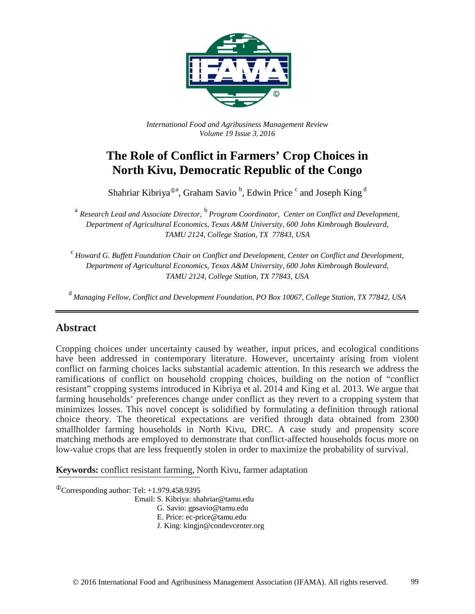

*International Food and Agribusiness Management Review Volume 19 Issue 3*, *2016*

# **The Role of Conflict in Farmers' Crop Choices in North Kivu, Democratic Republic of the Congo**

Shahriar Kibriya<sup> $0a$ </sup>, Graham Savio<sup>b</sup>, Edwin Price<sup>c</sup> and Joseph King<sup>d</sup>

<sup>a</sup> *Research Lead and Associate Director*, <sup>b</sup> *Program Coordinator, Center on Conflict and Development, Department of Agricultural Economics, Texas A&M University, 600 John Kimbrough Boulevard, TAMU 2124, College Station, TX 77843, USA*

<sup>c</sup>*Howard G. Buffett Foundation Chair on Conflict and Development, Center on Conflict and Development, Department of Agricultural Economics, Texas A&M University, 600 John Kimbrough Boulevard, TAMU 2124, College Station, TX 77843, USA*

<sup>d</sup>*Managing Fellow, Conflict and Development Foundation, PO Box 10067, College Station, TX 77842, USA*

### **Abstract**

Cropping choices under uncertainty caused by weather, input prices, and ecological conditions have been addressed in contemporary literature. However, uncertainty arising from violent conflict on farming choices lacks substantial academic attention. In this research we address the ramifications of conflict on household cropping choices, building on the notion of "conflict resistant" cropping systems introduced in Kibriya et al. 2014 and King et al. 2013. We argue that farming households' preferences change under conflict as they revert to a cropping system that minimizes losses. This novel concept is solidified by formulating a definition through rational choice theory. The theoretical expectations are verified through data obtained from 2300 smallholder farming households in North Kivu, DRC. A case study and propensity score matching methods are employed to demonstrate that conflict-affected households focus more on low-value crops that are less frequently stolen in order to maximize the probability of survival.

**Keywords:** conflict resistant farming, North Kivu, farmer adaptation

 $^{\circ}$ Corresponding author: Tel: +1.979.458.9395

- Email: S. Kibriya: shahriar@tamu.edu
	- G. Savio: gpsavio@tamu.edu
	- E. Price: ec-price@tamu.edu
	- J. King: kingjn@condevcenter.org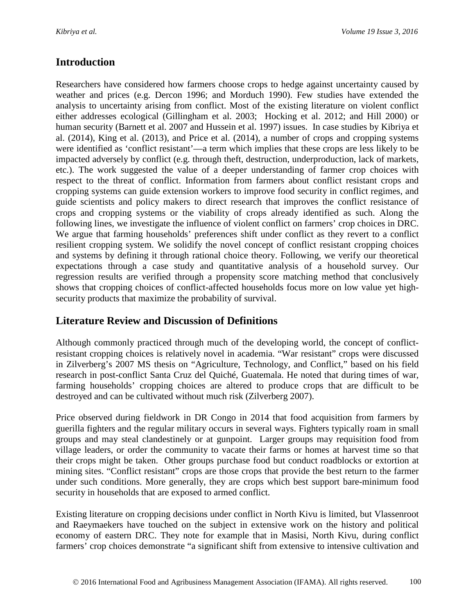## **Introduction**

Researchers have considered how farmers choose crops to hedge against uncertainty caused by weather and prices (e.g. Dercon 1996; and Morduch 1990). Few studies have extended the analysis to uncertainty arising from conflict. Most of the existing literature on violent conflict either addresses ecological (Gillingham et al. 2003; Hocking et al. 2012; and Hill 2000) or human security (Barnett et al. 2007 and Hussein et al. 1997) issues. In case studies by Kibriya et al. (2014), King et al. (2013), and Price et al. (2014), a number of crops and cropping systems were identified as 'conflict resistant'—a term which implies that these crops are less likely to be impacted adversely by conflict (e.g. through theft, destruction, underproduction, lack of markets, etc.). The work suggested the value of a deeper understanding of farmer crop choices with respect to the threat of conflict. Information from farmers about conflict resistant crops and cropping systems can guide extension workers to improve food security in conflict regimes, and guide scientists and policy makers to direct research that improves the conflict resistance of crops and cropping systems or the viability of crops already identified as such. Along the following lines, we investigate the influence of violent conflict on farmers' crop choices in DRC. We argue that farming households' preferences shift under conflict as they revert to a conflict resilient cropping system. We solidify the novel concept of conflict resistant cropping choices and systems by defining it through rational choice theory. Following, we verify our theoretical expectations through a case study and quantitative analysis of a household survey. Our regression results are verified through a propensity score matching method that conclusively shows that cropping choices of conflict-affected households focus more on low value yet highsecurity products that maximize the probability of survival.

### **Literature Review and Discussion of Definitions**

Although commonly practiced through much of the developing world, the concept of conflictresistant cropping choices is relatively novel in academia. "War resistant" crops were discussed in Zilverberg's 2007 MS thesis on "Agriculture, Technology, and Conflict," based on his field research in post-conflict Santa Cruz del Quiché, Guatemala. He noted that during times of war, farming households' cropping choices are altered to produce crops that are difficult to be destroyed and can be cultivated without much risk (Zilverberg 2007).

Price observed during fieldwork in DR Congo in 2014 that food acquisition from farmers by guerilla fighters and the regular military occurs in several ways. Fighters typically roam in small groups and may steal clandestinely or at gunpoint. Larger groups may requisition food from village leaders, or order the community to vacate their farms or homes at harvest time so that their crops might be taken. Other groups purchase food but conduct roadblocks or extortion at mining sites. "Conflict resistant" crops are those crops that provide the best return to the farmer under such conditions. More generally, they are crops which best support bare-minimum food security in households that are exposed to armed conflict.

Existing literature on cropping decisions under conflict in North Kivu is limited, but Vlassenroot and Raeymaekers have touched on the subject in extensive work on the history and political economy of eastern DRC. They note for example that in Masisi, North Kivu, during conflict farmers' crop choices demonstrate "a significant shift from extensive to intensive cultivation and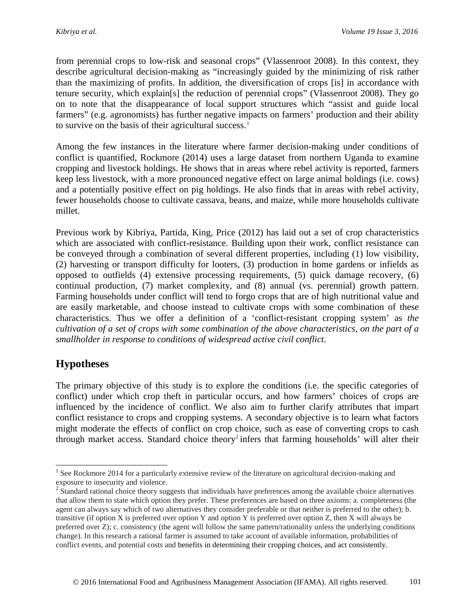from perennial crops to low-risk and seasonal crops" (Vlassenroot 2008). In this context, they describe agricultural decision-making as "increasingly guided by the minimizing of risk rather than the maximizing of profits. In addition, the diversification of crops [is] in accordance with tenure security, which explain[s] the reduction of perennial crops" (Vlassenroot 2008). They go on to note that the disappearance of local support structures which "assist and guide local farmers" (e.g. agronomists) has further negative impacts on farmers' production and their ability to survive on the basis of their agricultural success.<sup>[1](#page-2-0)</sup>

Among the few instances in the literature where farmer decision-making under conditions of conflict is quantified, Rockmore (2014) uses a large dataset from northern Uganda to examine cropping and livestock holdings. He shows that in areas where rebel activity is reported, farmers keep less livestock, with a more pronounced negative effect on large animal holdings (i.e. cows) and a potentially positive effect on pig holdings. He also finds that in areas with rebel activity, fewer households choose to cultivate cassava, beans, and maize, while more households cultivate millet.

Previous work by Kibriya, Partida, King, Price (2012) has laid out a set of crop characteristics which are associated with conflict-resistance. Building upon their work, conflict resistance can be conveyed through a combination of several different properties, including (1) low visibility, (2) harvesting or transport difficulty for looters, (3) production in home gardens or infields as opposed to outfields (4) extensive processing requirements, (5) quick damage recovery, (6) continual production, (7) market complexity, and (8) annual (vs. perennial) growth pattern. Farming households under conflict will tend to forgo crops that are of high nutritional value and are easily marketable, and choose instead to cultivate crops with some combination of these characteristics. Thus we offer a definition of a 'conflict-resistant cropping system' as *the cultivation of a set of crops with some combination of the above characteristics, on the part of a smallholder in response to conditions of widespread active civil conflict*.

# **Hypotheses**

The primary objective of this study is to explore the conditions (i.e. the specific categories of conflict) under which crop theft in particular occurs, and how farmers' choices of crops are influenced by the incidence of conflict. We also aim to further clarify attributes that impart conflict resistance to crops and cropping systems. A secondary objective is to learn what factors might moderate the effects of conflict on crop choice, such as ease of converting crops to cash through market access. Standard choice theory<sup>[2](#page-2-1)</sup> infers that farming households' will alter their

<span id="page-2-0"></span><sup>&</sup>lt;sup>1</sup> See Rockmore 2014 for a particularly extensive review of the literature on agricultural decision-making and exposure to insecurity and violence.

<span id="page-2-1"></span><sup>&</sup>lt;sup>2</sup> Standard rational choice theory suggests that individuals have preferences among the available choice alternatives that allow them to state which option they prefer. These preferences are based on three axioms: a. completeness (the agent can always say which of two alternatives they consider preferable or that neither is preferred to the other); b. transitive (if option X is preferred over option Y and option Y is preferred over option Z, then X will always be preferred over Z); c. consistency (the agent will follow the same pattern/rationality unless the underlying conditions change). In this research a rational farmer is assumed to take account of available information, probabilities of conflict events, and potential costs and benefits in determining their cropping choices, and act consistently.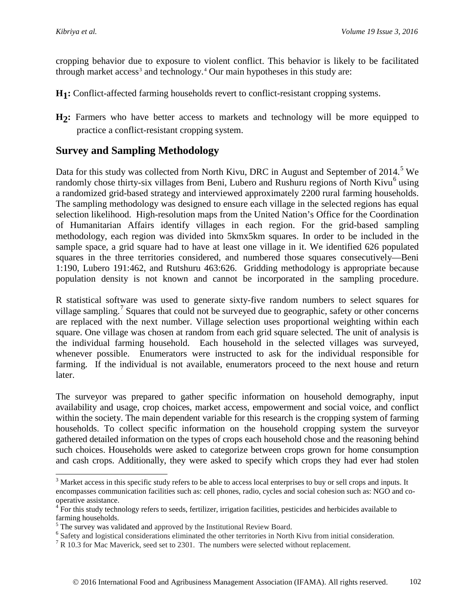cropping behavior due to exposure to violent conflict. This behavior is likely to be facilitated through market  $access<sup>3</sup>$  $access<sup>3</sup>$  $access<sup>3</sup>$  and technology.<sup>[4](#page-3-1)</sup> Our main hypotheses in this study are:

- **H1:** Conflict-affected farming households revert to conflict-resistant cropping systems.
- H<sub>2</sub>: Farmers who have better access to markets and technology will be more equipped to practice a conflict-resistant cropping system.

# **Survey and Sampling Methodology**

Data for this study was collected from North Kivu, DRC in August and September of 2014.<sup>[5](#page-3-2)</sup> We randomly chose thirty-six villages from Beni, Lubero and Rushuru regions of North Kivu<sup>[6](#page-3-3)</sup> using a randomized grid-based strategy and interviewed approximately 2200 rural farming households. The sampling methodology was designed to ensure each village in the selected regions has equal selection likelihood. High-resolution maps from the United Nation's Office for the Coordination of Humanitarian Affairs identify villages in each region. For the grid-based sampling methodology, each region was divided into 5kmx5km squares. In order to be included in the sample space, a grid square had to have at least one village in it. We identified 626 populated squares in the three territories considered, and numbered those squares consecutively—Beni 1:190, Lubero 191:462, and Rutshuru 463:626. Gridding methodology is appropriate because population density is not known and cannot be incorporated in the sampling procedure.

R statistical software was used to generate sixty-five random numbers to select squares for village sampling.<sup>[7](#page-3-4)</sup> Squares that could not be surveyed due to geographic, safety or other concerns are replaced with the next number. Village selection uses proportional weighting within each square. One village was chosen at random from each grid square selected. The unit of analysis is the individual farming household. Each household in the selected villages was surveyed, whenever possible. Enumerators were instructed to ask for the individual responsible for farming. If the individual is not available, enumerators proceed to the next house and return later.

The surveyor was prepared to gather specific information on household demography, input availability and usage, crop choices, market access, empowerment and social voice, and conflict within the society. The main dependent variable for this research is the cropping system of farming households. To collect specific information on the household cropping system the surveyor gathered detailed information on the types of crops each household chose and the reasoning behind such choices. Households were asked to categorize between crops grown for home consumption and cash crops. Additionally, they were asked to specify which crops they had ever had stolen

<span id="page-3-0"></span><sup>&</sup>lt;sup>3</sup> Market access in this specific study refers to be able to access local enterprises to buy or sell crops and inputs. It encompasses communication facilities such as: cell phones, radio, cycles and social cohesion such as: NGO and cooperative assistance.

<span id="page-3-1"></span><sup>&</sup>lt;sup>4</sup> For this study technology refers to seeds, fertilizer, irrigation facilities, pesticides and herbicides available to farming households.<br><sup>5</sup> The survey was validated and approved by the Institutional Review Board.

<span id="page-3-3"></span><span id="page-3-2"></span> $<sup>6</sup>$  Safety and logistical considerations eliminated the other territories in North Kivu from initial consideration.</sup>

<span id="page-3-4"></span> ${}^{7}R$  10.3 for Mac Maverick, seed set to 2301. The numbers were selected without replacement.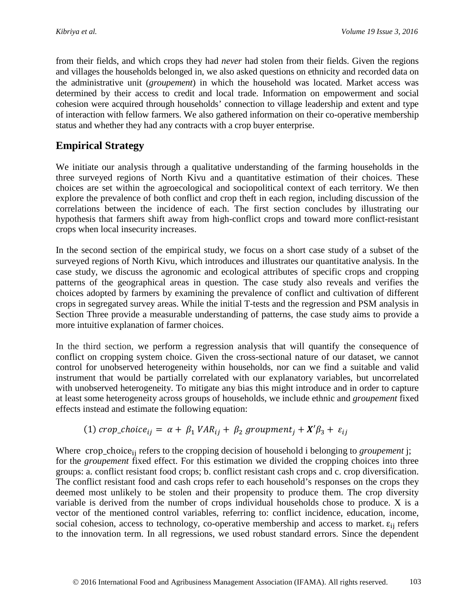from their fields, and which crops they had *never* had stolen from their fields. Given the regions and villages the households belonged in, we also asked questions on ethnicity and recorded data on the administrative unit (*groupement*) in which the household was located. Market access was determined by their access to credit and local trade. Information on empowerment and social cohesion were acquired through households' connection to village leadership and extent and type of interaction with fellow farmers. We also gathered information on their co-operative membership status and whether they had any contracts with a crop buyer enterprise.

# **Empirical Strategy**

We initiate our analysis through a qualitative understanding of the farming households in the three surveyed regions of North Kivu and a quantitative estimation of their choices. These choices are set within the agroecological and sociopolitical context of each territory. We then explore the prevalence of both conflict and crop theft in each region, including discussion of the correlations between the incidence of each. The first section concludes by illustrating our hypothesis that farmers shift away from high-conflict crops and toward more conflict-resistant crops when local insecurity increases.

In the second section of the empirical study, we focus on a short case study of a subset of the surveyed regions of North Kivu, which introduces and illustrates our quantitative analysis. In the case study, we discuss the agronomic and ecological attributes of specific crops and cropping patterns of the geographical areas in question. The case study also reveals and verifies the choices adopted by farmers by examining the prevalence of conflict and cultivation of different crops in segregated survey areas. While the initial T-tests and the regression and PSM analysis in Section Three provide a measurable understanding of patterns, the case study aims to provide a more intuitive explanation of farmer choices.

In the third section, we perform a regression analysis that will quantify the consequence of conflict on cropping system choice. Given the cross-sectional nature of our dataset, we cannot control for unobserved heterogeneity within households, nor can we find a suitable and valid instrument that would be partially correlated with our explanatory variables, but uncorrelated with unobserved heterogeneity. To mitigate any bias this might introduce and in order to capture at least some heterogeneity across groups of households, we include ethnic and *groupement* fixed effects instead and estimate the following equation:

(1) 
$$
prop\_choice_{ij} = \alpha + \beta_1 VAR_{ij} + \beta_2 groupment_j + X'\beta_3 + \varepsilon_{ij}
$$

Where crop\_choice<sub>ij</sub> refers to the cropping decision of household i belonging to *groupement* j; for the *groupement* fixed effect. For this estimation we divided the cropping choices into three groups: a. conflict resistant food crops; b. conflict resistant cash crops and c. crop diversification. The conflict resistant food and cash crops refer to each household's responses on the crops they deemed most unlikely to be stolen and their propensity to produce them. The crop diversity variable is derived from the number of crops individual households chose to produce. X is a vector of the mentioned control variables, referring to: conflict incidence, education, income, social cohesion, access to technology, co-operative membership and access to market.  $\varepsilon_{ii}$  refers to the innovation term. In all regressions, we used robust standard errors. Since the dependent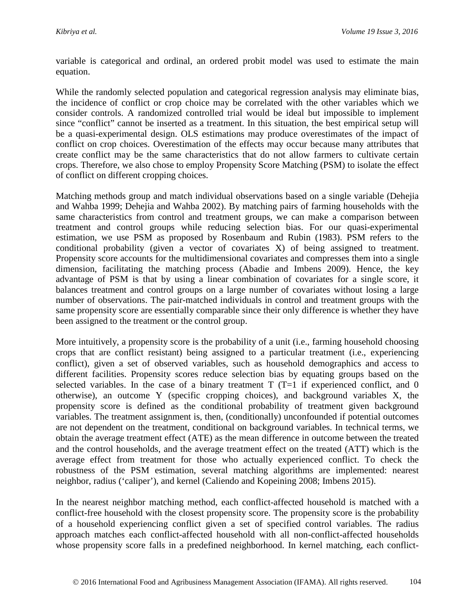variable is categorical and ordinal, an ordered probit model was used to estimate the main equation.

While the randomly selected population and categorical regression analysis may eliminate bias, the incidence of conflict or crop choice may be correlated with the other variables which we consider controls. A randomized controlled trial would be ideal but impossible to implement since "conflict" cannot be inserted as a treatment. In this situation, the best empirical setup will be a quasi-experimental design. OLS estimations may produce overestimates of the impact of conflict on crop choices. Overestimation of the effects may occur because many attributes that create conflict may be the same characteristics that do not allow farmers to cultivate certain crops. Therefore, we also chose to employ Propensity Score Matching (PSM) to isolate the effect of conflict on different cropping choices.

Matching methods group and match individual observations based on a single variable (Dehejia and Wahba 1999; Dehejia and Wahba 2002). By matching pairs of farming households with the same characteristics from control and treatment groups, we can make a comparison between treatment and control groups while reducing selection bias. For our quasi-experimental estimation, we use PSM as proposed by Rosenbaum and Rubin (1983). PSM refers to the conditional probability (given a vector of covariates X) of being assigned to treatment. Propensity score accounts for the multidimensional covariates and compresses them into a single dimension, facilitating the matching process (Abadie and Imbens 2009). Hence, the key advantage of PSM is that by using a linear combination of covariates for a single score, it balances treatment and control groups on a large number of covariates without losing a large number of observations. The pair-matched individuals in control and treatment groups with the same propensity score are essentially comparable since their only difference is whether they have been assigned to the treatment or the control group.

More intuitively, a propensity score is the probability of a unit (i.e., farming household choosing crops that are conflict resistant) being assigned to a particular treatment (i.e., experiencing conflict), given a set of observed variables, such as household demographics and access to different facilities. Propensity scores reduce selection bias by equating groups based on the selected variables. In the case of a binary treatment  $T(T=1)$  if experienced conflict, and 0 otherwise), an outcome Y (specific cropping choices), and background variables X, the propensity score is defined as the conditional probability of treatment given background variables. The treatment assignment is, then, (conditionally) unconfounded if potential outcomes are not dependent on the treatment, conditional on background variables. In technical terms, we obtain the average treatment effect (ATE) as the mean difference in outcome between the treated and the control households, and the average treatment effect on the treated (ATT) which is the average effect from treatment for those who actually experienced conflict. To check the robustness of the PSM estimation, several matching algorithms are implemented: nearest neighbor, radius ('caliper'), and kernel (Caliendo and Kopeining 2008; Imbens 2015).

In the nearest neighbor matching method, each conflict-affected household is matched with a conflict-free household with the closest propensity score. The propensity score is the probability of a household experiencing conflict given a set of specified control variables. The radius approach matches each conflict-affected household with all non-conflict-affected households whose propensity score falls in a predefined neighborhood. In kernel matching, each conflict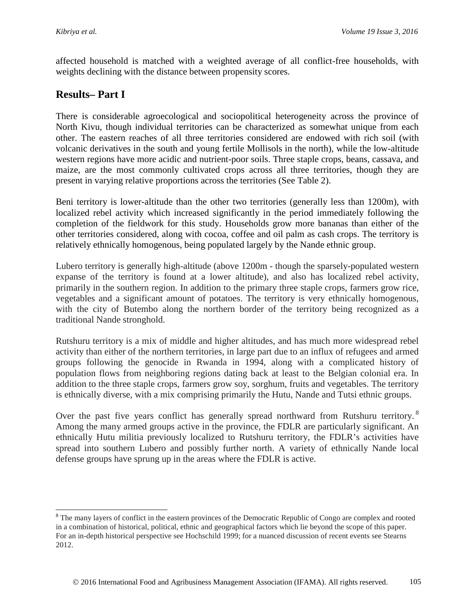affected household is matched with a weighted average of all conflict-free households, with weights declining with the distance between propensity scores.

# **Results– Part I**

There is considerable agroecological and sociopolitical heterogeneity across the province of North Kivu, though individual territories can be characterized as somewhat unique from each other. The eastern reaches of all three territories considered are endowed with rich soil (with volcanic derivatives in the south and young fertile Mollisols in the north), while the low-altitude western regions have more acidic and nutrient-poor soils. Three staple crops, beans, cassava, and maize, are the most commonly cultivated crops across all three territories, though they are present in varying relative proportions across the territories (See Table 2).

Beni territory is lower-altitude than the other two territories (generally less than 1200m), with localized rebel activity which increased significantly in the period immediately following the completion of the fieldwork for this study. Households grow more bananas than either of the other territories considered, along with cocoa, coffee and oil palm as cash crops. The territory is relatively ethnically homogenous, being populated largely by the Nande ethnic group.

Lubero territory is generally high-altitude (above 1200m - though the sparsely-populated western expanse of the territory is found at a lower altitude), and also has localized rebel activity, primarily in the southern region. In addition to the primary three staple crops, farmers grow rice, vegetables and a significant amount of potatoes. The territory is very ethnically homogenous, with the city of Butembo along the northern border of the territory being recognized as a traditional Nande stronghold.

Rutshuru territory is a mix of middle and higher altitudes, and has much more widespread rebel activity than either of the northern territories, in large part due to an influx of refugees and armed groups following the genocide in Rwanda in 1994, along with a complicated history of population flows from neighboring regions dating back at least to the Belgian colonial era. In addition to the three staple crops, farmers grow soy, sorghum, fruits and vegetables. The territory is ethnically diverse, with a mix comprising primarily the Hutu, Nande and Tutsi ethnic groups.

Over the past five years conflict has generally spread northward from Rutshuru territory.<sup>[8](#page-6-0)</sup> Among the many armed groups active in the province, the FDLR are particularly significant. An ethnically Hutu militia previously localized to Rutshuru territory, the FDLR's activities have spread into southern Lubero and possibly further north. A variety of ethnically Nande local defense groups have sprung up in the areas where the FDLR is active.

<span id="page-6-0"></span><sup>&</sup>lt;sup>8</sup> The many layers of conflict in the eastern provinces of the Democratic Republic of Congo are complex and rooted in a combination of historical, political, ethnic and geographical factors which lie beyond the scope of this paper. For an in-depth historical perspective see Hochschild 1999; for a nuanced discussion of recent events see Stearns 2012.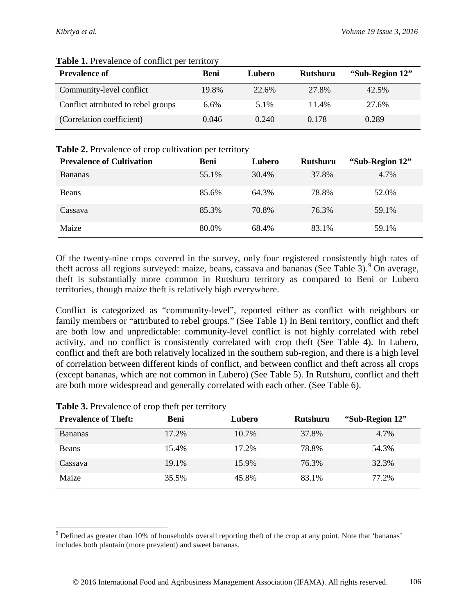| <b>Prevalence of</b>                | Beni  | Lubero | <b>Rutshuru</b> | "Sub-Region 12" |
|-------------------------------------|-------|--------|-----------------|-----------------|
| Community-level conflict            | 19.8% | 22.6%  | 27.8%           | 42.5%           |
| Conflict attributed to rebel groups | 6.6%  | 5.1%   | 11.4%           | 27.6%           |
| (Correlation coefficient)           | 0.046 | 0.240  | 0.178           | 0.289           |

#### **Table 1.** Prevalence of conflict per territory

### **Table 2.** Prevalence of crop cultivation per territory

| <b>Prevalence of Cultivation</b> | <b>Beni</b> | Lubero | <b>Rutshuru</b> | "Sub-Region 12" |
|----------------------------------|-------------|--------|-----------------|-----------------|
| <b>Bananas</b>                   | 55.1%       | 30.4%  | 37.8%           | 4.7%            |
| <b>Beans</b>                     | 85.6%       | 64.3%  | 78.8%           | 52.0%           |
| Cassava                          | 85.3%       | 70.8%  | 76.3%           | 59.1%           |
| Maize                            | 80.0%       | 68.4%  | 83.1%           | 59.1%           |

Of the twenty-nine crops covered in the survey, only four registered consistently high rates of theft across all regions surveyed: maize, beans, cassava and bananas (See Table 3). <sup>[9](#page-7-0)</sup> On average, theft is substantially more common in Rutshuru territory as compared to Beni or Lubero territories, though maize theft is relatively high everywhere.

Conflict is categorized as "community-level", reported either as conflict with neighbors or family members or "attributed to rebel groups." (See Table 1) In Beni territory, conflict and theft are both low and unpredictable: community-level conflict is not highly correlated with rebel activity, and no conflict is consistently correlated with crop theft (See Table 4). In Lubero, conflict and theft are both relatively localized in the southern sub-region, and there is a high level of correlation between different kinds of conflict, and between conflict and theft across all crops (except bananas, which are not common in Lubero) (See Table 5). In Rutshuru, conflict and theft are both more widespread and generally correlated with each other. (See Table 6).

| <b>Prevalence of Theft:</b> | <b>Beni</b> | Lubero | <b>Rutshuru</b> | "Sub-Region 12" |
|-----------------------------|-------------|--------|-----------------|-----------------|
| <b>Bananas</b>              | 17.2%       | 10.7%  | 37.8%           | 4.7%            |
| Beans                       | 15.4%       | 17.2%  | 78.8%           | 54.3%           |
| Cassava                     | 19.1%       | 15.9%  | 76.3%           | 32.3%           |
| Maize                       | 35.5%       | 45.8%  | 83.1%           | 77.2%           |

#### Table 3. Prevalence of crop theft per territory

<span id="page-7-0"></span><sup>&</sup>lt;sup>9</sup> Defined as greater than 10% of households overall reporting theft of the crop at any point. Note that 'bananas' includes both plantain (more prevalent) and sweet bananas.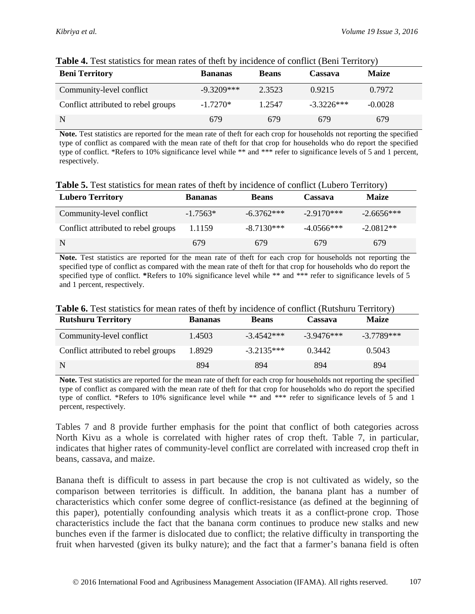| <b>Beni Territory</b>               | <b>Bananas</b> | <b>Beans</b> | Cassava      | <b>Maize</b> |  |
|-------------------------------------|----------------|--------------|--------------|--------------|--|
| Community-level conflict            | $-9.3209***$   | 2.3523       | 0.9215       | 0.7972       |  |
| Conflict attributed to rebel groups | $-1.7270*$     | 1.2547       | $-3.3226***$ | $-0.0028$    |  |
| N                                   | 679            | 679          | 679          | 679          |  |

#### **Table 4.** Test statistics for mean rates of theft by incidence of conflict (Beni Territory)

**Note.** Test statistics are reported for the mean rate of theft for each crop for households not reporting the specified type of conflict as compared with the mean rate of theft for that crop for households who do report the specified type of conflict. \*Refers to 10% significance level while \*\* and \*\*\* refer to significance levels of 5 and 1 percent, respectively.

| Table 5. Test statistics for mean rates of theft by incidence of conflict (Lubero Territory) |  |  |  |  |
|----------------------------------------------------------------------------------------------|--|--|--|--|
|----------------------------------------------------------------------------------------------|--|--|--|--|

| <b>Lubero Territory</b>             | <b>Bananas</b> | <b>Beans</b> | Cassava      | <b>Maize</b> |
|-------------------------------------|----------------|--------------|--------------|--------------|
| Community-level conflict            | $-1.7563*$     | $-6.3762***$ | $-2.9170***$ | $-2.6656***$ |
| Conflict attributed to rebel groups | 1.1159         | $-8.7130***$ | $-4.0566***$ | $-2.0812**$  |
| N                                   | 679            | 679          | 679          | 679          |

**Note.** Test statistics are reported for the mean rate of theft for each crop for households not reporting the specified type of conflict as compared with the mean rate of theft for that crop for households who do report the specified type of conflict. **\***Refers to 10% significance level while \*\* and \*\*\* refer to significance levels of 5 and 1 percent, respectively.

| <b>Rutshuru Territory</b>           | <b>Bananas</b> | <b>Beans</b> | Cassava      | <b>Maize</b> |
|-------------------------------------|----------------|--------------|--------------|--------------|
| Community-level conflict            | 1.4503         | $-3.4542***$ | $-3.9476***$ | $-3.7789***$ |
| Conflict attributed to rebel groups | 1.8929         | $-3.2135***$ | 0.3442       | 0.5043       |
| N                                   | 894            | 894          | 894          | 894          |

**Note.** Test statistics are reported for the mean rate of theft for each crop for households not reporting the specified type of conflict as compared with the mean rate of theft for that crop for households who do report the specified type of conflict. \*Refers to 10% significance level while \*\* and \*\*\* refer to significance levels of 5 and 1 percent, respectively.

Tables 7 and 8 provide further emphasis for the point that conflict of both categories across North Kivu as a whole is correlated with higher rates of crop theft. Table 7, in particular, indicates that higher rates of community-level conflict are correlated with increased crop theft in beans, cassava, and maize.

Banana theft is difficult to assess in part because the crop is not cultivated as widely, so the comparison between territories is difficult. In addition, the banana plant has a number of characteristics which confer some degree of conflict-resistance (as defined at the beginning of this paper), potentially confounding analysis which treats it as a conflict-prone crop. Those characteristics include the fact that the banana corm continues to produce new stalks and new bunches even if the farmer is dislocated due to conflict; the relative difficulty in transporting the fruit when harvested (given its bulky nature); and the fact that a farmer's banana field is often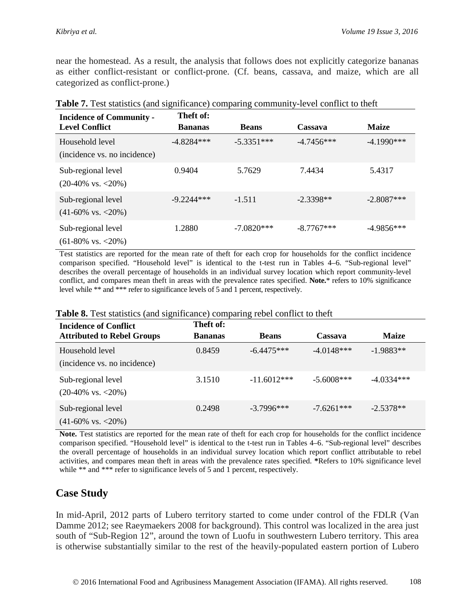near the homestead. As a result, the analysis that follows does not explicitly categorize bananas as either conflict-resistant or conflict-prone. (Cf. beans, cassava, and maize, which are all categorized as conflict-prone.)

| <b>Incidence of Community -</b><br><b>Level Conflict</b> | Theft of:<br><b>Bananas</b> | <b>Beans</b> | Cassava      | <b>Maize</b>  |
|----------------------------------------------------------|-----------------------------|--------------|--------------|---------------|
| Household level<br>(incidence vs. no incidence)          | $-4.8284***$                | $-5.3351***$ | $-4.7456***$ | $-4.1990$ *** |
| Sub-regional level<br>$(20-40\% \text{ vs. } < 20\%)$    | 0.9404                      | 5.7629       | 7.4434       | 5.4317        |
| Sub-regional level<br>$(41-60\% \text{ vs. } < 20\%)$    | $-9.2244***$                | $-1.511$     | $-2.3398**$  | $-2.8087***$  |
| Sub-regional level<br>$(61-80\% \text{ vs. } < 20\%)$    | 1.2880                      | $-7.0820***$ | $-8.7767***$ | $-4.9856***$  |

**Table 7.** Test statistics (and significance) comparing community-level conflict to theft

Test statistics are reported for the mean rate of theft for each crop for households for the conflict incidence comparison specified. "Household level" is identical to the t-test run in Tables 4–6. "Sub-regional level" describes the overall percentage of households in an individual survey location which report community-level conflict, and compares mean theft in areas with the prevalence rates specified. **Note.**\* refers to 10% significance level while \*\* and \*\*\* refer to significance levels of 5 and 1 percent, respectively.

| <b>Incidence of Conflict</b><br><b>Attributed to Rebel Groups</b> | Theft of:<br><b>Bananas</b> | <b>Beans</b>  | Cassava      | <b>Maize</b> |
|-------------------------------------------------------------------|-----------------------------|---------------|--------------|--------------|
| Household level<br>(incidence vs. no incidence)                   | 0.8459                      | $-6.4475***$  | $-4.0148***$ | $-1.9883**$  |
| Sub-regional level<br>$(20-40\% \text{ vs.} < 20\%)$              | 3.1510                      | $-11.6012***$ | $-5.6008***$ | $-4.0334***$ |
| Sub-regional level<br>$(41-60\% \text{ vs. } < 20\%)$             | 0.2498                      | $-3.7996***$  | $-7.6261***$ | $-2.5378**$  |

**Note.** Test statistics are reported for the mean rate of theft for each crop for households for the conflict incidence comparison specified. "Household level" is identical to the t-test run in Tables 4–6. "Sub-regional level" describes the overall percentage of households in an individual survey location which report conflict attributable to rebel activities, and compares mean theft in areas with the prevalence rates specified. **\***Refers to 10% significance level while \*\* and \*\*\* refer to significance levels of 5 and 1 percent, respectively.

### **Case Study**

In mid-April, 2012 parts of Lubero territory started to come under control of the FDLR (Van Damme 2012; see Raeymaekers 2008 for background). This control was localized in the area just south of "Sub-Region 12", around the town of Luofu in southwestern Lubero territory. This area is otherwise substantially similar to the rest of the heavily-populated eastern portion of Lubero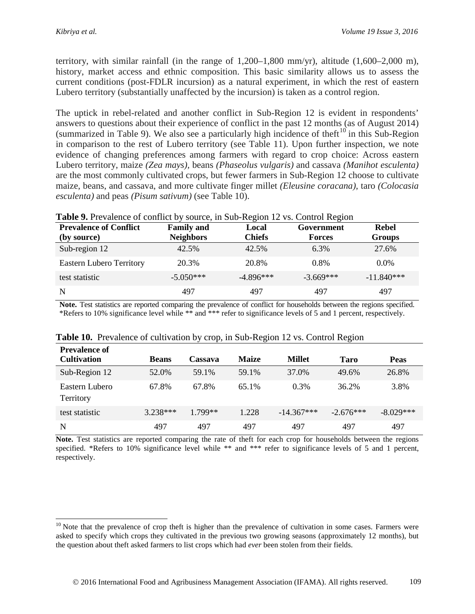territory, with similar rainfall (in the range of  $1,200-1,800$  mm/yr), altitude  $(1,600-2,000$  m), history, market access and ethnic composition. This basic similarity allows us to assess the current conditions (post-FDLR incursion) as a natural experiment, in which the rest of eastern Lubero territory (substantially unaffected by the incursion) is taken as a control region.

The uptick in rebel-related and another conflict in Sub-Region 12 is evident in respondents' answers to questions about their experience of conflict in the past 12 months (as of August 2014) (summarized in Table 9). We also see a particularly high incidence of theft<sup>[10](#page-10-0)</sup> in this Sub-Region in comparison to the rest of Lubero territory (see Table 11). Upon further inspection, we note evidence of changing preferences among farmers with regard to crop choice: Across eastern Lubero territory, maize *(Zea mays),* beans *(Phaseolus vulgaris)* and cassava *(Manihot esculenta)*  are the most commonly cultivated crops, but fewer farmers in Sub-Region 12 choose to cultivate maize, beans, and cassava, and more cultivate finger millet *(Eleusine coracana)*, taro *(Colocasia esculenta)* and peas *(Pisum sativum)* (see Table 10).

#### **Table 9.** Prevalence of conflict by source, in Sub-Region 12 vs. Control Region

| <b>Prevalence of Conflict</b>   | <b>Family and</b> | Local         | Government    | <b>Rebel</b>  |
|---------------------------------|-------------------|---------------|---------------|---------------|
| (by source)                     | <b>Neighbors</b>  | <b>Chiefs</b> | <b>Forces</b> | <b>Groups</b> |
| Sub-region 12                   | 42.5%             | 42.5%         | 6.3%          | 27.6%         |
| <b>Eastern Lubero Territory</b> | 20.3%             | 20.8%         | $0.8\%$       | $0.0\%$       |
| test statistic                  | $-5.050***$       | $-4.896***$   | $-3.669***$   | $-11.840***$  |
| N                               | 497               | 497           | 497           | 497           |

**Note.** Test statistics are reported comparing the prevalence of conflict for households between the regions specified. \*Refers to 10% significance level while \*\* and \*\*\* refer to significance levels of 5 and 1 percent, respectively.

| <b>Prevalence of</b><br><b>Cultivation</b> | <b>Beans</b> | Cassava | <b>Maize</b> | <b>Millet</b> | <b>Taro</b> | <b>Peas</b> |
|--------------------------------------------|--------------|---------|--------------|---------------|-------------|-------------|
| Sub-Region 12                              | 52.0%        | 59.1%   | 59.1%        | 37.0%         | 49.6%       | 26.8%       |
| Eastern Lubero<br>Territory                | 67.8%        | 67.8%   | 65.1%        | 0.3%          | 36.2%       | 3.8%        |
| test statistic                             | $3.238***$   | 1.799** | 1.228        | $-14.367***$  | $-2.676***$ | $-8.029***$ |
| N                                          | 497          | 497     | 497          | 497           | 497         | 497         |

#### **Table 10.** Prevalence of cultivation by crop, in Sub-Region 12 vs. Control Region

**Note.** Test statistics are reported comparing the rate of theft for each crop for households between the regions specified. \*Refers to 10% significance level while \*\* and \*\*\* refer to significance levels of 5 and 1 percent, respectively.

<span id="page-10-0"></span> $10$  Note that the prevalence of crop theft is higher than the prevalence of cultivation in some cases. Farmers were asked to specify which crops they cultivated in the previous two growing seasons (approximately 12 months), but the question about theft asked farmers to list crops which had *ever* been stolen from their fields.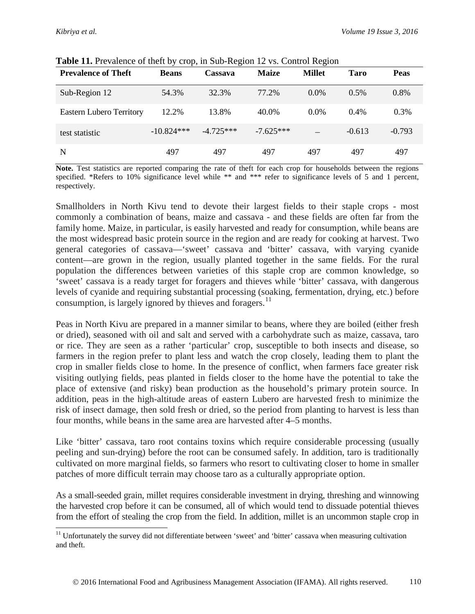| <b>Prevalence of Theft</b>      | <b>Beans</b> | Cassava     | <b>Maize</b> | <b>Millet</b> | Taro     | <b>Peas</b> |
|---------------------------------|--------------|-------------|--------------|---------------|----------|-------------|
| Sub-Region 12                   | 54.3%        | 32.3%       | 77.2%        | $0.0\%$       | $0.5\%$  | $0.8\%$     |
| <b>Eastern Lubero Territory</b> | 12.2%        | 13.8%       | 40.0%        | $0.0\%$       | $0.4\%$  | 0.3%        |
| test statistic                  | $-10.824***$ | $-4.725***$ | $-7.625***$  |               | $-0.613$ | $-0.793$    |
| N                               | 497          | 497         | 497          | 497           | 497      | 497         |

**Table 11.** Prevalence of theft by crop, in Sub-Region 12 vs. Control Region

**Note.** Test statistics are reported comparing the rate of theft for each crop for households between the regions specified. \*Refers to 10% significance level while \*\* and \*\*\* refer to significance levels of 5 and 1 percent, respectively.

Smallholders in North Kivu tend to devote their largest fields to their staple crops - most commonly a combination of beans, maize and cassava - and these fields are often far from the family home. Maize, in particular, is easily harvested and ready for consumption, while beans are the most widespread basic protein source in the region and are ready for cooking at harvest. Two general categories of cassava—'sweet' cassava and 'bitter' cassava, with varying cyanide content—are grown in the region, usually planted together in the same fields. For the rural population the differences between varieties of this staple crop are common knowledge, so 'sweet' cassava is a ready target for foragers and thieves while 'bitter' cassava, with dangerous levels of cyanide and requiring substantial processing (soaking, fermentation, drying, etc.) before consumption, is largely ignored by thieves and foragers.<sup>[11](#page-11-0)</sup>

Peas in North Kivu are prepared in a manner similar to beans, where they are boiled (either fresh or dried), seasoned with oil and salt and served with a carbohydrate such as maize, cassava, taro or rice. They are seen as a rather 'particular' crop, susceptible to both insects and disease, so farmers in the region prefer to plant less and watch the crop closely, leading them to plant the crop in smaller fields close to home. In the presence of conflict, when farmers face greater risk visiting outlying fields, peas planted in fields closer to the home have the potential to take the place of extensive (and risky) bean production as the household's primary protein source. In addition, peas in the high-altitude areas of eastern Lubero are harvested fresh to minimize the risk of insect damage, then sold fresh or dried, so the period from planting to harvest is less than four months, while beans in the same area are harvested after 4–5 months.

Like 'bitter' cassava, taro root contains toxins which require considerable processing (usually peeling and sun-drying) before the root can be consumed safely. In addition, taro is traditionally cultivated on more marginal fields, so farmers who resort to cultivating closer to home in smaller patches of more difficult terrain may choose taro as a culturally appropriate option.

As a small-seeded grain, millet requires considerable investment in drying, threshing and winnowing the harvested crop before it can be consumed, all of which would tend to dissuade potential thieves from the effort of stealing the crop from the field. In addition, millet is an uncommon staple crop in

<span id="page-11-0"></span> $11$  Unfortunately the survey did not differentiate between 'sweet' and 'bitter' cassava when measuring cultivation and theft.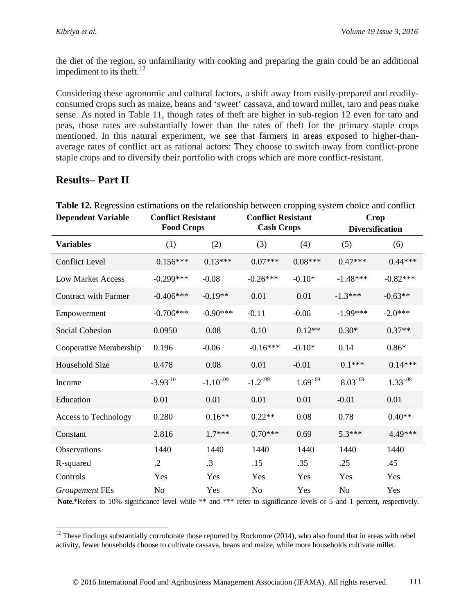the diet of the region, so unfamiliarity with cooking and preparing the grain could be an additional impediment to its theft. $^{12}$  $^{12}$  $^{12}$ 

Considering these agronomic and cultural factors, a shift away from easily-prepared and readilyconsumed crops such as maize, beans and 'sweet' cassava, and toward millet, taro and peas make sense. As noted in Table 11, though rates of theft are higher in sub-region 12 even for taro and peas, those rates are substantially lower than the rates of theft for the primary staple crops mentioned. In this natural experiment, we see that farmers in areas exposed to higher-thanaverage rates of conflict act as rational actors: They choose to switch away from conflict-prone staple crops and to diversify their portfolio with crops which are more conflict-resistant.

# **Results– Part II**

| Table 12. Regression estimations on the relationship between cropping system choice and conflict |                                                |               |                                                |              |                                       |              |
|--------------------------------------------------------------------------------------------------|------------------------------------------------|---------------|------------------------------------------------|--------------|---------------------------------------|--------------|
| <b>Dependent Variable</b>                                                                        | <b>Conflict Resistant</b><br><b>Food Crops</b> |               | <b>Conflict Resistant</b><br><b>Cash Crops</b> |              | <b>Crop</b><br><b>Diversification</b> |              |
| <b>Variables</b>                                                                                 | (1)                                            | (2)           | (3)                                            | (4)          | (5)                                   | (6)          |
| <b>Conflict Level</b>                                                                            | $0.156***$                                     | $0.13***$     | $0.07***$                                      | $0.08***$    | $0.47***$                             | $0.44***$    |
| <b>Low Market Access</b>                                                                         | $-0.299***$                                    | $-0.08$       | $-0.26***$                                     | $-0.10*$     | $-1.48***$                            | $-0.82***$   |
| <b>Contract with Farmer</b>                                                                      | $-0.406***$                                    | $-0.19**$     | 0.01                                           | 0.01         | $-1.3***$                             | $-0.63**$    |
| Empowerment                                                                                      | $-0.706***$                                    | $-0.90***$    | $-0.11$                                        | $-0.06$      | $-1.99***$                            | $-2.0***$    |
| <b>Social Cohesion</b>                                                                           | 0.0950                                         | 0.08          | 0.10                                           | $0.12**$     | $0.30*$                               | $0.37**$     |
| Cooperative Membership                                                                           | 0.196                                          | $-0.06$       | $-0.16***$                                     | $-0.10*$     | 0.14                                  | $0.86*$      |
| Household Size                                                                                   | 0.478                                          | 0.08          | 0.01                                           | $-0.01$      | $0.1***$                              | $0.14***$    |
| Income                                                                                           | $-3.93$ <sup>-10</sup>                         | $-1.10^{-09}$ | $-1.2 - 09$                                    | $1.69 - .09$ | $8.03 - .09$                          | $1.33 - .08$ |
| Education                                                                                        | 0.01                                           | 0.01          | 0.01                                           | 0.01         | $-0.01$                               | 0.01         |
| <b>Access to Technology</b>                                                                      | 0.280                                          | $0.16**$      | $0.22**$                                       | 0.08         | 0.78                                  | $0.40**$     |
| Constant                                                                                         | 2.816                                          | $1.7***$      | $0.70***$                                      | 0.69         | $5.3***$                              | 4.49***      |
| Observations                                                                                     | 1440                                           | 1440          | 1440                                           | 1440         | 1440                                  | 1440         |
| R-squared                                                                                        | $\cdot$ .2                                     | $\cdot$ 3     | .15                                            | .35          | .25                                   | .45          |
| Controls                                                                                         | Yes                                            | Yes           | Yes                                            | Yes          | Yes                                   | Yes          |
| <b>Groupement FEs</b>                                                                            | N <sub>o</sub>                                 | Yes           | N <sub>0</sub>                                 | Yes          | N <sub>0</sub>                        | Yes          |

**Note.**\*Refers to 10% significance level while \*\* and \*\*\* refer to significance levels of 5 and 1 percent, respectively.

<span id="page-12-0"></span> $12$  These findings substantially corroborate those reported by Rockmore (2014), who also found that in areas with rebel activity, fewer households choose to cultivate cassava, beans and maize, while more households cultivate millet.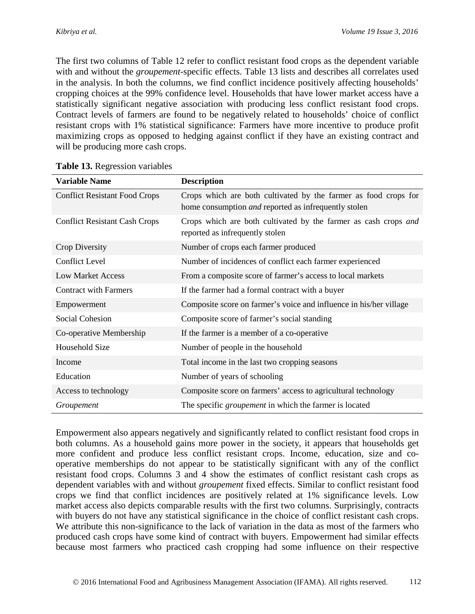The first two columns of Table 12 refer to conflict resistant food crops as the dependent variable with and without the *groupement*-specific effects. Table 13 lists and describes all correlates used in the analysis. In both the columns, we find conflict incidence positively affecting households' cropping choices at the 99% confidence level. Households that have lower market access have a statistically significant negative association with producing less conflict resistant food crops. Contract levels of farmers are found to be negatively related to households' choice of conflict resistant crops with 1% statistical significance: Farmers have more incentive to produce profit maximizing crops as opposed to hedging against conflict if they have an existing contract and will be producing more cash crops.

| <b>Variable Name</b>                 | <b>Description</b>                                                                                                             |
|--------------------------------------|--------------------------------------------------------------------------------------------------------------------------------|
| <b>Conflict Resistant Food Crops</b> | Crops which are both cultivated by the farmer as food crops for<br>home consumption <i>and</i> reported as infrequently stolen |
| <b>Conflict Resistant Cash Crops</b> | Crops which are both cultivated by the farmer as cash crops and<br>reported as infrequently stolen                             |
| Crop Diversity                       | Number of crops each farmer produced                                                                                           |
| <b>Conflict Level</b>                | Number of incidences of conflict each farmer experienced                                                                       |
| <b>Low Market Access</b>             | From a composite score of farmer's access to local markets                                                                     |
| <b>Contract with Farmers</b>         | If the farmer had a formal contract with a buyer                                                                               |
| Empowerment                          | Composite score on farmer's voice and influence in his/her village                                                             |
| Social Cohesion                      | Composite score of farmer's social standing                                                                                    |
| Co-operative Membership              | If the farmer is a member of a co-operative                                                                                    |
| Household Size                       | Number of people in the household                                                                                              |
| Income                               | Total income in the last two cropping seasons                                                                                  |
| Education                            | Number of years of schooling                                                                                                   |
| Access to technology                 | Composite score on farmers' access to agricultural technology                                                                  |
| Groupement                           | The specific <i>groupement</i> in which the farmer is located                                                                  |

Empowerment also appears negatively and significantly related to conflict resistant food crops in both columns. As a household gains more power in the society, it appears that households get more confident and produce less conflict resistant crops. Income, education, size and cooperative memberships do not appear to be statistically significant with any of the conflict resistant food crops. Columns 3 and 4 show the estimates of conflict resistant cash crops as dependent variables with and without *groupement* fixed effects. Similar to conflict resistant food crops we find that conflict incidences are positively related at 1% significance levels. Low market access also depicts comparable results with the first two columns. Surprisingly, contracts with buyers do not have any statistical significance in the choice of conflict resistant cash crops. We attribute this non-significance to the lack of variation in the data as most of the farmers who produced cash crops have some kind of contract with buyers. Empowerment had similar effects because most farmers who practiced cash cropping had some influence on their respective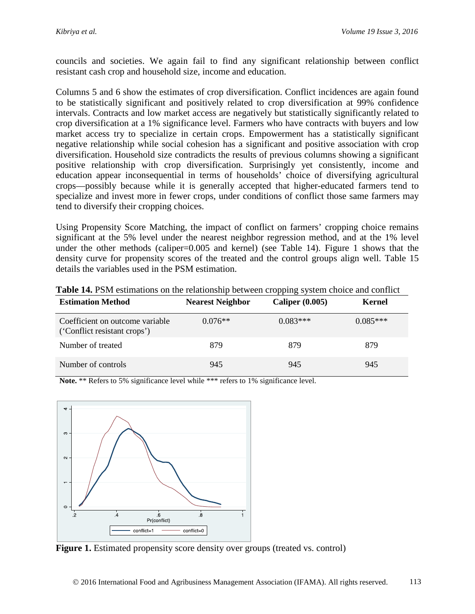councils and societies. We again fail to find any significant relationship between conflict resistant cash crop and household size, income and education.

Columns 5 and 6 show the estimates of crop diversification. Conflict incidences are again found to be statistically significant and positively related to crop diversification at 99% confidence intervals. Contracts and low market access are negatively but statistically significantly related to crop diversification at a 1% significance level. Farmers who have contracts with buyers and low market access try to specialize in certain crops. Empowerment has a statistically significant negative relationship while social cohesion has a significant and positive association with crop diversification. Household size contradicts the results of previous columns showing a significant positive relationship with crop diversification. Surprisingly yet consistently, income and education appear inconsequential in terms of households' choice of diversifying agricultural crops—possibly because while it is generally accepted that higher-educated farmers tend to specialize and invest more in fewer crops, under conditions of conflict those same farmers may tend to diversify their cropping choices.

Using Propensity Score Matching, the impact of conflict on farmers' cropping choice remains significant at the 5% level under the nearest neighbor regression method, and at the 1% level under the other methods (caliper=0.005 and kernel) (see Table 14). Figure 1 shows that the density curve for propensity scores of the treated and the control groups align well. Table 15 details the variables used in the PSM estimation.

| <b>Estimation Method</b>                                        | <b>Nearest Neighbor</b> | <b>Caliper</b> (0.005) | Kernel     |
|-----------------------------------------------------------------|-------------------------|------------------------|------------|
| Coefficient on outcome variable<br>('Conflict resistant crops') | $0.076**$               | $0.083***$             | $0.085***$ |
| Number of treated                                               | 879                     | 879                    | 879        |
| Number of controls                                              | 945                     | 945                    | 945        |

**Table 14.** PSM estimations on the relationship between cropping system choice and conflict

**Note.** \*\* Refers to 5% significance level while \*\*\* refers to 1% significance level.



**Figure 1.** Estimated propensity score density over groups (treated vs. control)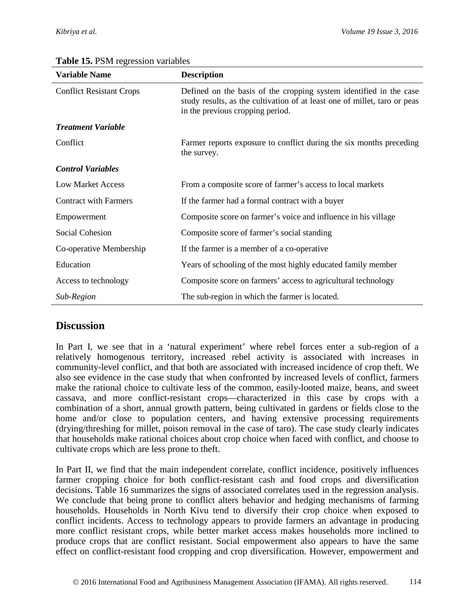| <b>Variable Name</b>            | <b>Description</b>                                                                                                                                                                  |  |
|---------------------------------|-------------------------------------------------------------------------------------------------------------------------------------------------------------------------------------|--|
| <b>Conflict Resistant Crops</b> | Defined on the basis of the cropping system identified in the case<br>study results, as the cultivation of at least one of millet, taro or peas<br>in the previous cropping period. |  |
| <b>Treatment Variable</b>       |                                                                                                                                                                                     |  |
| Conflict                        | Farmer reports exposure to conflict during the six months preceding<br>the survey.                                                                                                  |  |
| <b>Control Variables</b>        |                                                                                                                                                                                     |  |
| <b>Low Market Access</b>        | From a composite score of farmer's access to local markets                                                                                                                          |  |
| <b>Contract with Farmers</b>    | If the farmer had a formal contract with a buyer                                                                                                                                    |  |
| Empowerment                     | Composite score on farmer's voice and influence in his village                                                                                                                      |  |
| Social Cohesion                 | Composite score of farmer's social standing                                                                                                                                         |  |
| Co-operative Membership         | If the farmer is a member of a co-operative                                                                                                                                         |  |
| Education                       | Years of schooling of the most highly educated family member                                                                                                                        |  |
| Access to technology            | Composite score on farmers' access to agricultural technology                                                                                                                       |  |
| Sub-Region                      | The sub-region in which the farmer is located.                                                                                                                                      |  |

#### **Table 15.** PSM regression variables

### **Discussion**

In Part I, we see that in a 'natural experiment' where rebel forces enter a sub-region of a relatively homogenous territory, increased rebel activity is associated with increases in community-level conflict, and that both are associated with increased incidence of crop theft. We also see evidence in the case study that when confronted by increased levels of conflict, farmers make the rational choice to cultivate less of the common, easily-looted maize, beans, and sweet cassava, and more conflict-resistant crops—characterized in this case by crops with a combination of a short, annual growth pattern, being cultivated in gardens or fields close to the home and/or close to population centers, and having extensive processing requirements (drying/threshing for millet, poison removal in the case of taro). The case study clearly indicates that households make rational choices about crop choice when faced with conflict, and choose to cultivate crops which are less prone to theft.

In Part II, we find that the main independent correlate, conflict incidence, positively influences farmer cropping choice for both conflict-resistant cash and food crops and diversification decisions. Table 16 summarizes the signs of associated correlates used in the regression analysis. We conclude that being prone to conflict alters behavior and hedging mechanisms of farming households. Households in North Kivu tend to diversify their crop choice when exposed to conflict incidents. Access to technology appears to provide farmers an advantage in producing more conflict resistant crops, while better market access makes households more inclined to produce crops that are conflict resistant. Social empowerment also appears to have the same effect on conflict-resistant food cropping and crop diversification. However, empowerment and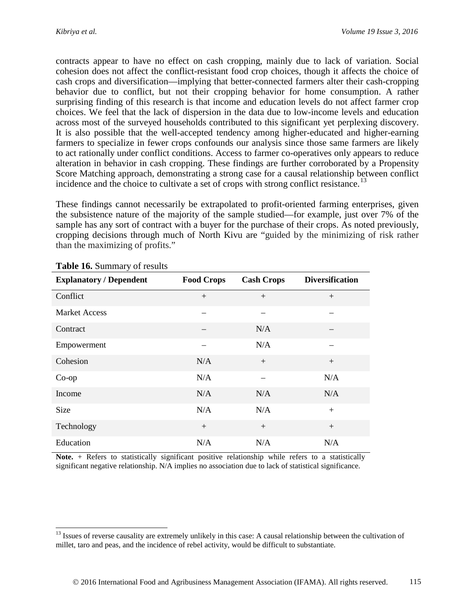contracts appear to have no effect on cash cropping, mainly due to lack of variation. Social cohesion does not affect the conflict-resistant food crop choices, though it affects the choice of cash crops and diversification—implying that better-connected farmers alter their cash-cropping behavior due to conflict, but not their cropping behavior for home consumption. A rather surprising finding of this research is that income and education levels do not affect farmer crop choices. We feel that the lack of dispersion in the data due to low-income levels and education across most of the surveyed households contributed to this significant yet perplexing discovery. It is also possible that the well-accepted tendency among higher-educated and higher-earning farmers to specialize in fewer crops confounds our analysis since those same farmers are likely to act rationally under conflict conditions. Access to farmer co-operatives only appears to reduce alteration in behavior in cash cropping. These findings are further corroborated by a Propensity Score Matching approach, demonstrating a strong case for a causal relationship between conflict incidence and the choice to cultivate a set of crops with strong conflict resistance.<sup>[13](#page-16-0)</sup>

These findings cannot necessarily be extrapolated to profit-oriented farming enterprises, given the subsistence nature of the majority of the sample studied—for example, just over 7% of the sample has any sort of contract with a buyer for the purchase of their crops. As noted previously, cropping decisions through much of North Kivu are "guided by the minimizing of risk rather than the maximizing of profits."

| <b>Explanatory / Dependent</b> | <b>Food Crops</b> | <b>Cash Crops</b> | <b>Diversification</b> |
|--------------------------------|-------------------|-------------------|------------------------|
| Conflict                       | $+$               | $+$               | $+$                    |
| <b>Market Access</b>           |                   |                   |                        |
| Contract                       |                   | N/A               |                        |
| Empowerment                    |                   | N/A               |                        |
| Cohesion                       | N/A               | $+$               | $+$                    |
| $Co$ -op                       | N/A               |                   | N/A                    |
| Income                         | N/A               | N/A               | N/A                    |
| <b>Size</b>                    | N/A               | N/A               | $+$                    |
| Technology                     | $+$               | $+$               | $+$                    |
| Education                      | N/A               | N/A               | N/A                    |

**Table 16.** Summary of results

Note. + Refers to statistically significant positive relationship while refers to a statistically significant negative relationship. N/A implies no association due to lack of statistical significance.

<span id="page-16-0"></span> $<sup>13</sup>$  Issues of reverse causality are extremely unlikely in this case: A causal relationship between the cultivation of</sup> millet, taro and peas, and the incidence of rebel activity, would be difficult to substantiate.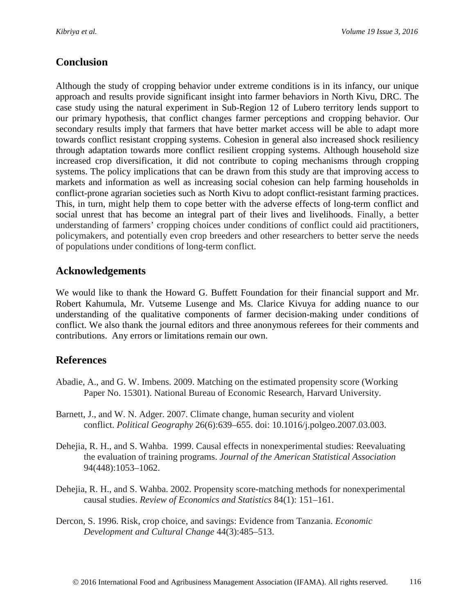# **Conclusion**

Although the study of cropping behavior under extreme conditions is in its infancy, our unique approach and results provide significant insight into farmer behaviors in North Kivu, DRC. The case study using the natural experiment in Sub-Region 12 of Lubero territory lends support to our primary hypothesis, that conflict changes farmer perceptions and cropping behavior. Our secondary results imply that farmers that have better market access will be able to adapt more towards conflict resistant cropping systems. Cohesion in general also increased shock resiliency through adaptation towards more conflict resilient cropping systems. Although household size increased crop diversification, it did not contribute to coping mechanisms through cropping systems. The policy implications that can be drawn from this study are that improving access to markets and information as well as increasing social cohesion can help farming households in conflict-prone agrarian societies such as North Kivu to adopt conflict-resistant farming practices. This, in turn, might help them to cope better with the adverse effects of long-term conflict and social unrest that has become an integral part of their lives and livelihoods. Finally, a better understanding of farmers' cropping choices under conditions of conflict could aid practitioners, policymakers, and potentially even crop breeders and other researchers to better serve the needs of populations under conditions of long-term conflict.

### **Acknowledgements**

We would like to thank the Howard G. Buffett Foundation for their financial support and Mr. Robert Kahumula, Mr. Vutseme Lusenge and Ms. Clarice Kivuya for adding nuance to our understanding of the qualitative components of farmer decision-making under conditions of conflict. We also thank the journal editors and three anonymous referees for their comments and contributions. Any errors or limitations remain our own.

### **References**

- Abadie, A., and G. W. Imbens. 2009. Matching on the estimated propensity score (Working Paper No. 15301). National Bureau of Economic Research, Harvard University.
- Barnett, J., and W. N. Adger. 2007. Climate change, human security and violent conflict. *Political Geography* 26(6):639–655. doi: 10.1016/j.polgeo.2007.03.003.
- Dehejia, R. H., and S. Wahba. 1999. Causal effects in nonexperimental studies: Reevaluating the evaluation of training programs. *Journal of the American Statistical Association* 94(448):1053–1062.
- Dehejia, R. H., and S. Wahba. 2002. Propensity score-matching methods for nonexperimental causal studies. *Review of Economics and Statistics* 84(1): 151–161.
- Dercon, S. 1996. Risk, crop choice, and savings: Evidence from Tanzania. *Economic Development and Cultural Change* 44(3):485–513.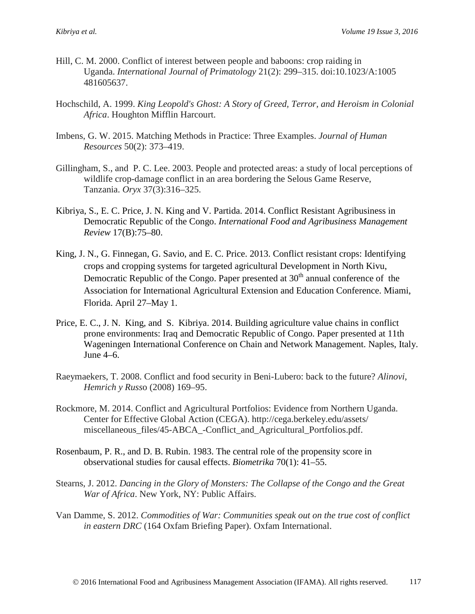- Hill, C. M. 2000. Conflict of interest between people and baboons: crop raiding in Uganda. *International Journal of Primatology* 21(2): 299–315. doi:10.1023/A:1005 481605637.
- Hochschild, A. 1999. *King Leopold's Ghost: A Story of Greed, Terror, and Heroism in Colonial Africa*. Houghton Mifflin Harcourt.
- Imbens, G. W. 2015. Matching Methods in Practice: Three Examples. *Journal of Human Resources* 50(2): 373–419.
- Gillingham, S., and P. C. Lee. 2003. People and protected areas: a study of local perceptions of wildlife crop-damage conflict in an area bordering the Selous Game Reserve, Tanzania. *Oryx* 37(3):316–325.
- Kibriya, S., E. C. Price, J. N. King and V. Partida. 2014. Conflict Resistant Agribusiness in Democratic Republic of the Congo. *International Food and Agribusiness Management Review* 17(B):75–80.
- King, J. N., G. Finnegan, G. Savio, and E. C. Price. 2013. Conflict resistant crops: Identifying crops and cropping systems for targeted agricultural Development in North Kivu, Democratic Republic of the Congo. Paper presented at  $30<sup>th</sup>$  annual conference of the Association for International Agricultural Extension and Education Conference. Miami, Florida. April 27–May 1.
- Price, E. C., J. N. King, and S. Kibriya. 2014. Building agriculture value chains in conflict prone environments: Iraq and Democratic Republic of Congo. Paper presented at 11th Wageningen International Conference on Chain and Network Management. Naples, Italy. June 4–6.
- Raeymaekers, T. 2008. Conflict and food security in Beni-Lubero: back to the future? *Alinovi, Hemrich y Russ*o (2008) 169–95.
- Rockmore, M. 2014. Conflict and Agricultural Portfolios: Evidence from Northern Uganda. Center for Effective Global Action (CEGA). http://cega.berkeley.edu/assets/ miscellaneous\_files/45-ABCA\_-Conflict\_and\_Agricultural\_Portfolios.pdf.
- Rosenbaum, P. R., and D. B. Rubin. 1983. The central role of the propensity score in observational studies for causal effects. *Biometrika* 70(1): 41–55.
- Stearns, J. 2012. *Dancing in the Glory of Monsters: The Collapse of the Congo and the Great War of Africa*. New York, NY: Public Affairs.
- Van Damme, S. 2012. *Commodities of War: Communities speak out on the true cost of conflict in eastern DRC* (164 Oxfam Briefing Paper). Oxfam International.